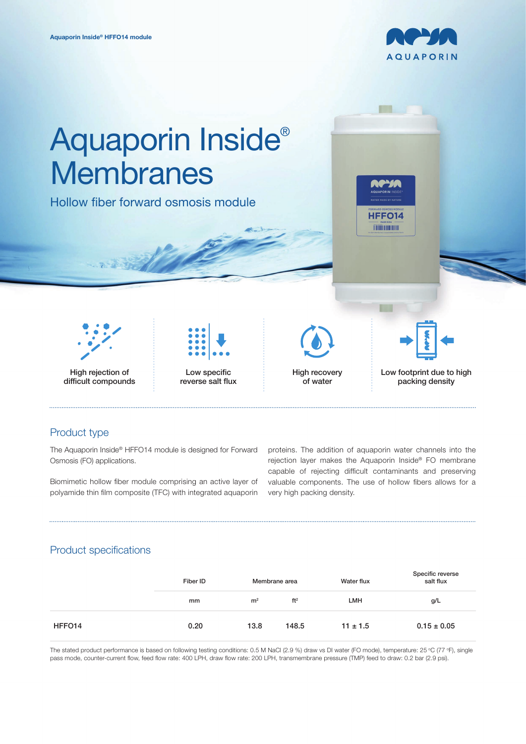



# Product type

The Aquaporin Inside® HFFO14 module is designed for Forward Osmosis (FO) applications.

Biomimetic hollow fiber module comprising an active layer of polyamide thin film composite (TFC) with integrated aquaporin

proteins. The addition of aquaporin water channels into the rejection layer makes the Aquaporin Inside® FO membrane capable of rejecting difficult contaminants and preserving valuable components. The use of hollow fibers allows for a very high packing density.

# Product specifications

|        | Fiber ID | Membrane area  |                 | Water flux   | Specific reverse<br>salt flux |
|--------|----------|----------------|-----------------|--------------|-------------------------------|
|        | mm       | m <sup>2</sup> | ft <sup>2</sup> | LMH          | g/L                           |
| HFFO14 | 0.20     | 13.8           | 148.5           | $11 \pm 1.5$ | $0.15 \pm 0.05$               |

The stated product performance is based on following testing conditions: 0.5 M NaCl (2.9 %) draw vs DI water (FO mode), temperature: 25 °C (77 °F), single pass mode, counter-current flow, feed flow rate: 400 LPH, draw flow rate: 200 LPH, transmembrane pressure (TMP) feed to draw: 0.2 bar (2.9 psi).